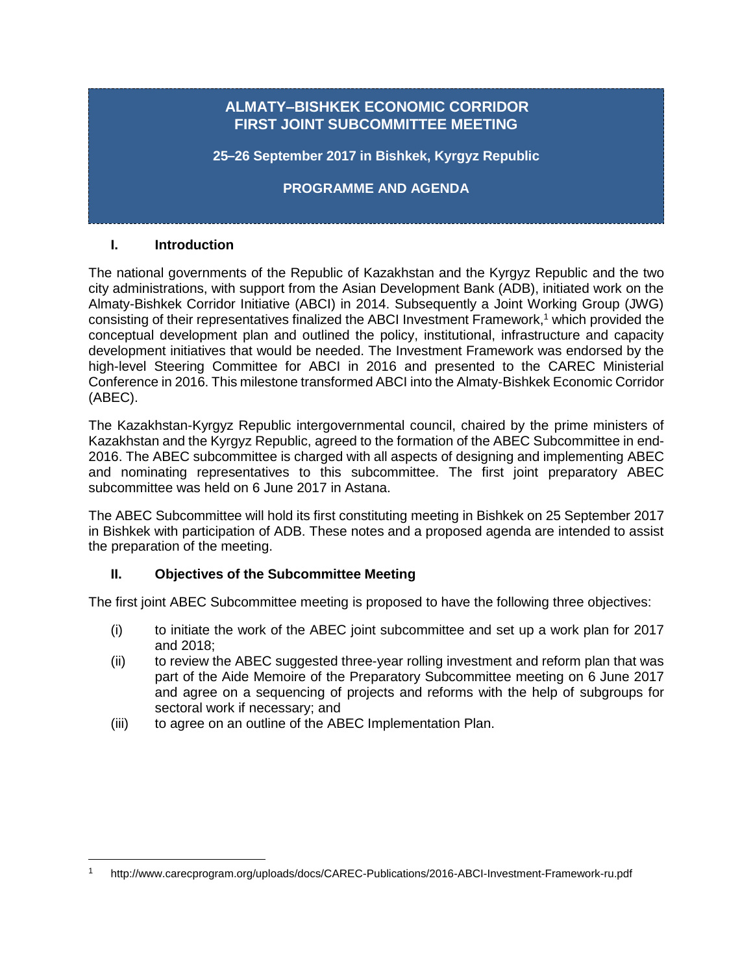### **ALMATY–BISHKEK ECONOMIC CORRIDOR FIRST JOINT SUBCOMMITTEE MEETING**

**25–26 September 2017 in Bishkek, Kyrgyz Republic**

**PROGRAMME AND AGENDA**

#### **I. Introduction**

The national governments of the Republic of Kazakhstan and the Kyrgyz Republic and the two city administrations, with support from the Asian Development Bank (ADB), initiated work on the Almaty-Bishkek Corridor Initiative (ABCI) in 2014. Subsequently a Joint Working Group (JWG) consisting of their representatives finalized the ABCI Investment Framework, <sup>1</sup> which provided the conceptual development plan and outlined the policy, institutional, infrastructure and capacity development initiatives that would be needed. The Investment Framework was endorsed by the high-level Steering Committee for ABCI in 2016 and presented to the CAREC Ministerial Conference in 2016. This milestone transformed ABCI into the Almaty-Bishkek Economic Corridor (ABEC).

The Kazakhstan-Kyrgyz Republic intergovernmental council, chaired by the prime ministers of Kazakhstan and the Kyrgyz Republic, agreed to the formation of the ABEC Subcommittee in end-2016. The ABEC subcommittee is charged with all aspects of designing and implementing ABEC and nominating representatives to this subcommittee. The first joint preparatory ABEC subcommittee was held on 6 June 2017 in Astana.

The ABEC Subcommittee will hold its first constituting meeting in Bishkek on 25 September 2017 in Bishkek with participation of ADB. These notes and a proposed agenda are intended to assist the preparation of the meeting.

#### **II. Objectives of the Subcommittee Meeting**

The first joint ABEC Subcommittee meeting is proposed to have the following three objectives:

- (i) to initiate the work of the ABEC joint subcommittee and set up a work plan for 2017 and 2018;
- (ii) to review the ABEC suggested three-year rolling investment and reform plan that was part of the Aide Memoire of the Preparatory Subcommittee meeting on 6 June 2017 and agree on a sequencing of projects and reforms with the help of subgroups for sectoral work if necessary; and
- (iii) to agree on an outline of the ABEC Implementation Plan.

l <sup>1</sup> http://www.carecprogram.org/uploads/docs/CAREC-Publications/2016-ABCI-Investment-Framework-ru.pdf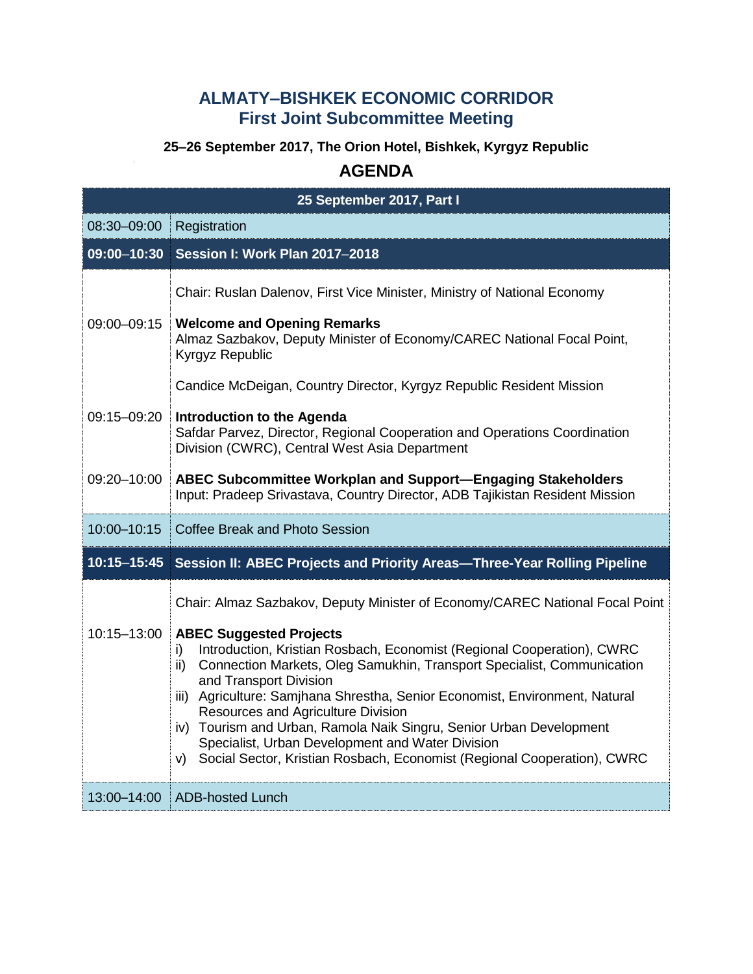## **ALMATY–BISHKEK ECONOMIC CORRIDOR First Joint Subcommittee Meeting**

# **25–26 September 2017, The Orion Hotel, Bishkek, Kyrgyz Republic**

### **AGENDA**

| 25 September 2017, Part I  |                                                                                                                                                                                                                                                                                                                                                                                                                                                                                                                                                                                                                                                   |  |
|----------------------------|---------------------------------------------------------------------------------------------------------------------------------------------------------------------------------------------------------------------------------------------------------------------------------------------------------------------------------------------------------------------------------------------------------------------------------------------------------------------------------------------------------------------------------------------------------------------------------------------------------------------------------------------------|--|
| 08:30-09:00                | Registration                                                                                                                                                                                                                                                                                                                                                                                                                                                                                                                                                                                                                                      |  |
| $09:00 - 10:30$            | <b>Session I: Work Plan 2017-2018</b>                                                                                                                                                                                                                                                                                                                                                                                                                                                                                                                                                                                                             |  |
| 09:00-09:15                | Chair: Ruslan Dalenov, First Vice Minister, Ministry of National Economy<br><b>Welcome and Opening Remarks</b><br>Almaz Sazbakov, Deputy Minister of Economy/CAREC National Focal Point,<br>Kyrgyz Republic                                                                                                                                                                                                                                                                                                                                                                                                                                       |  |
| 09:15-09:20<br>09:20-10:00 | Candice McDeigan, Country Director, Kyrgyz Republic Resident Mission<br><b>Introduction to the Agenda</b><br>Safdar Parvez, Director, Regional Cooperation and Operations Coordination<br>Division (CWRC), Central West Asia Department<br><b>ABEC Subcommittee Workplan and Support-Engaging Stakeholders</b><br>Input: Pradeep Srivastava, Country Director, ADB Tajikistan Resident Mission                                                                                                                                                                                                                                                    |  |
| 10:00-10:15                | Coffee Break and Photo Session                                                                                                                                                                                                                                                                                                                                                                                                                                                                                                                                                                                                                    |  |
| $10:15 - 15:45$            | Session II: ABEC Projects and Priority Areas-Three-Year Rolling Pipeline                                                                                                                                                                                                                                                                                                                                                                                                                                                                                                                                                                          |  |
| 10:15-13:00                | Chair: Almaz Sazbakov, Deputy Minister of Economy/CAREC National Focal Point<br><b>ABEC Suggested Projects</b><br>Introduction, Kristian Rosbach, Economist (Regional Cooperation), CWRC<br>i)<br>Connection Markets, Oleg Samukhin, Transport Specialist, Communication<br>$\mathsf{ii}$<br>and Transport Division<br>iii) Agriculture: Samjhana Shrestha, Senior Economist, Environment, Natural<br>Resources and Agriculture Division<br>iv) Tourism and Urban, Ramola Naik Singru, Senior Urban Development<br>Specialist, Urban Development and Water Division<br>v) Social Sector, Kristian Rosbach, Economist (Regional Cooperation), CWRC |  |
| 13:00-14:00                | ADB-hosted Lunch                                                                                                                                                                                                                                                                                                                                                                                                                                                                                                                                                                                                                                  |  |